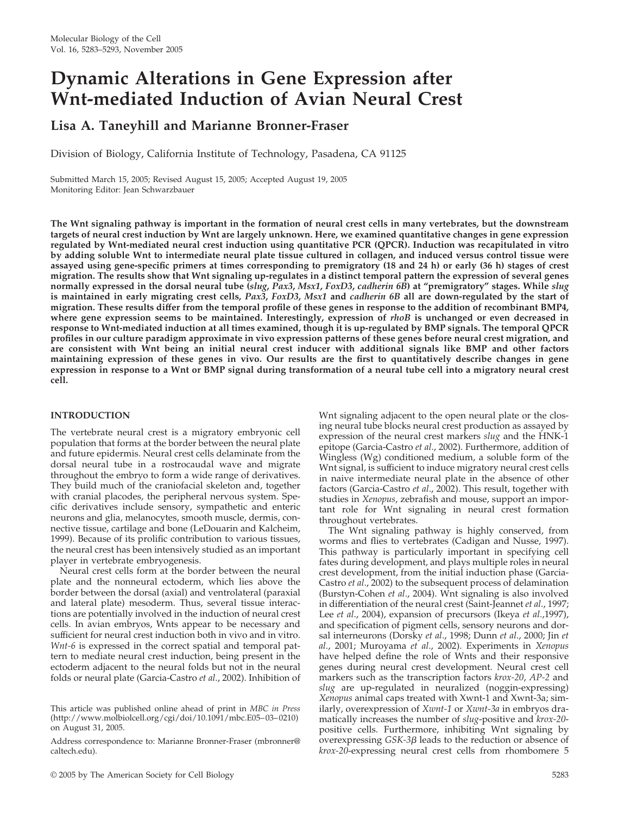# **Dynamic Alterations in Gene Expression after Wnt-mediated Induction of Avian Neural Crest**

# **Lisa A. Taneyhill and Marianne Bronner-Fraser**

Division of Biology, California Institute of Technology, Pasadena, CA 91125

Submitted March 15, 2005; Revised August 15, 2005; Accepted August 19, 2005 Monitoring Editor: Jean Schwarzbauer

**The Wnt signaling pathway is important in the formation of neural crest cells in many vertebrates, but the downstream targets of neural crest induction by Wnt are largely unknown. Here, we examined quantitative changes in gene expression regulated by Wnt-mediated neural crest induction using quantitative PCR (QPCR). Induction was recapitulated in vitro by adding soluble Wnt to intermediate neural plate tissue cultured in collagen, and induced versus control tissue were assayed using gene-specific primers at times corresponding to premigratory (18 and 24 h) or early (36 h) stages of crest migration. The results show that Wnt signaling up-regulates in a distinct temporal pattern the expression of several genes normally expressed in the dorsal neural tube (***slug***,** *Pax3***,** *Msx1***,** *FoxD3***,** *cadherin 6B***) at "premigratory" stages. While** *slug* **is maintained in early migrating crest cells,** *Pax3***,** *FoxD3***,** *Msx1* **and** *cadherin 6B* **all are down-regulated by the start of migration. These results differ from the temporal profile of these genes in response to the addition of recombinant BMP4, where gene expression seems to be maintained. Interestingly, expression of** *rhoB* **is unchanged or even decreased in response to Wnt-mediated induction at all times examined, though it is up-regulated by BMP signals. The temporal QPCR profiles in our culture paradigm approximate in vivo expression patterns of these genes before neural crest migration, and are consistent with Wnt being an initial neural crest inducer with additional signals like BMP and other factors maintaining expression of these genes in vivo. Our results are the first to quantitatively describe changes in gene expression in response to a Wnt or BMP signal during transformation of a neural tube cell into a migratory neural crest cell.**

# **INTRODUCTION**

The vertebrate neural crest is a migratory embryonic cell population that forms at the border between the neural plate and future epidermis. Neural crest cells delaminate from the dorsal neural tube in a rostrocaudal wave and migrate throughout the embryo to form a wide range of derivatives. They build much of the craniofacial skeleton and, together with cranial placodes, the peripheral nervous system. Specific derivatives include sensory, sympathetic and enteric neurons and glia, melanocytes, smooth muscle, dermis, connective tissue, cartilage and bone (LeDouarin and Kalcheim, 1999). Because of its prolific contribution to various tissues, the neural crest has been intensively studied as an important player in vertebrate embryogenesis.

Neural crest cells form at the border between the neural plate and the nonneural ectoderm, which lies above the border between the dorsal (axial) and ventrolateral (paraxial and lateral plate) mesoderm. Thus, several tissue interactions are potentially involved in the induction of neural crest cells. In avian embryos, Wnts appear to be necessary and sufficient for neural crest induction both in vivo and in vitro. *Wnt-6* is expressed in the correct spatial and temporal pattern to mediate neural crest induction, being present in the ectoderm adjacent to the neural folds but not in the neural folds or neural plate (Garcia-Castro *et al*., 2002). Inhibition of

Address correspondence to: Marianne Bronner-Fraser (mbronner@ caltech.edu).

Wnt signaling adjacent to the open neural plate or the closing neural tube blocks neural crest production as assayed by expression of the neural crest markers *slug* and the HNK-1 epitope (Garcia-Castro *et al*., 2002). Furthermore, addition of Wingless (Wg) conditioned medium, a soluble form of the Wnt signal, is sufficient to induce migratory neural crest cells in naive intermediate neural plate in the absence of other factors (Garcia-Castro *et al*., 2002). This result, together with studies in *Xenopus*, zebrafish and mouse, support an important role for Wnt signaling in neural crest formation throughout vertebrates.

The Wnt signaling pathway is highly conserved, from worms and flies to vertebrates (Cadigan and Nusse, 1997). This pathway is particularly important in specifying cell fates during development, and plays multiple roles in neural crest development, from the initial induction phase (Garcia-Castro *et al*., 2002) to the subsequent process of delamination (Burstyn-Cohen *et al*., 2004). Wnt signaling is also involved in differentiation of the neural crest (Saint-Jeannet *et al*., 1997; Lee *et al*., 2004), expansion of precursors (Ikeya *et al*.,1997), and specification of pigment cells, sensory neurons and dorsal interneurons (Dorsky *et al*., 1998; Dunn *et al*., 2000; Jin *et al*., 2001; Muroyama *et al*., 2002). Experiments in *Xenopus* have helped define the role of Wnts and their responsive genes during neural crest development. Neural crest cell markers such as the transcription factors *krox-20*, *AP-2* and *slug* are up-regulated in neuralized (noggin-expressing) *Xenopus* animal caps treated with Xwnt-1 and Xwnt-3a; similarly, overexpression of *Xwnt-1* or *Xwnt-3a* in embryos dramatically increases the number of *slug*-positive and *krox-20* positive cells. Furthermore, inhibiting Wnt signaling by overexpressing *GSK-3* leads to the reduction or absence of *krox-20*-expressing neural crest cells from rhombomere 5

This article was published online ahead of print in *MBC in Press* (http://www.molbiolcell.org/cgi/doi/10.1091/mbc.E05–03–0210) on August 31, 2005.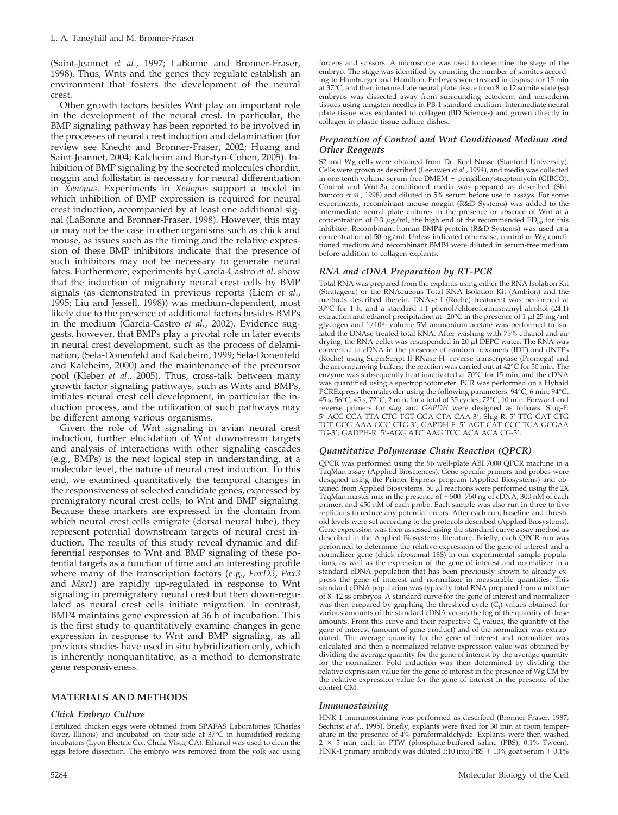(Saint-Jeannet *et al*., 1997; LaBonne and Bronner-Fraser, 1998). Thus, Wnts and the genes they regulate establish an environment that fosters the development of the neural crest.

Other growth factors besides Wnt play an important role in the development of the neural crest. In particular, the BMP signaling pathway has been reported to be involved in the processes of neural crest induction and delamination (for review see Knecht and Bronner-Fraser, 2002; Huang and Saint-Jeannet, 2004; Kalcheim and Burstyn-Cohen, 2005). Inhibition of BMP signaling by the secreted molecules chordin, noggin and follistatin is necessary for neural differentiation in *Xenopus*. Experiments in *Xenopus* support a model in which inhibition of BMP expression is required for neural crest induction, accompanied by at least one additional signal (LaBonne and Bronner-Fraser, 1998). However, this may or may not be the case in other organisms such as chick and mouse, as issues such as the timing and the relative expression of these BMP inhibitors indicate that the presence of such inhibitors may not be necessary to generate neural fates. Furthermore, experiments by Garcia-Castro *et al*. show that the induction of migratory neural crest cells by BMP signals (as demonstrated in previous reports (Liem *et al*., 1995; Liu and Jessell, 1998)) was medium-dependent, most likely due to the presence of additional factors besides BMPs in the medium (Garcia-Castro *et al*., 2002). Evidence suggests, however, that BMPs play a pivotal role in later events in neural crest development, such as the process of delamination, (Sela-Donenfeld and Kalcheim, 1999; Sela-Donenfeld and Kalcheim, 2000) and the maintenance of the precursor pool (Kleber *et al*., 2005). Thus, cross-talk between many growth factor signaling pathways, such as Wnts and BMPs, initiates neural crest cell development, in particular the induction process, and the utilization of such pathways may be different among various organisms.

Given the role of Wnt signaling in avian neural crest induction, further elucidation of Wnt downstream targets and analysis of interactions with other signaling cascades (e.g., BMPs) is the next logical step in understanding, at a molecular level, the nature of neural crest induction. To this end, we examined quantitatively the temporal changes in the responsiveness of selected candidate genes, expressed by premigratory neural crest cells, to Wnt and BMP signaling. Because these markers are expressed in the domain from which neural crest cells emigrate (dorsal neural tube), they represent potential downstream targets of neural crest induction. The results of this study reveal dynamic and differential responses to Wnt and BMP signaling of these potential targets as a function of time and an interesting profile where many of the transcription factors (e.g., *FoxD3*, *Pax3* and *Msx1*) are rapidly up-regulated in response to Wnt signaling in premigratory neural crest but then down-regulated as neural crest cells initiate migration. In contrast, BMP4 maintains gene expression at 36 h of incubation. This is the first study to quantitatively examine changes in gene expression in response to Wnt and BMP signaling, as all previous studies have used in situ hybridization only, which is inherently nonquantitative, as a method to demonstrate gene responsiveness.

# **MATERIALS AND METHODS**

# *Chick Embryo Culture*

Fertilized chicken eggs were obtained from SPAFAS Laboratories (Charles River, Illinois) and incubated on their side at 37°C in humidified rocking incubators (Lyon Electric Co., Chula Vista, CA). Ethanol was used to clean the eggs before dissection. The embryo was removed from the yolk sac using forceps and scissors. A microscope was used to determine the stage of the embryo. The stage was identified by counting the number of somites according to Hamburger and Hamilton. Embryos were treated in dispase for 15 min at 37°C, and then intermediate neural plate tissue from 8 to 12 somite state (ss) embryos was dissected away from surrounding ectoderm and mesoderm tissues using tungsten needles in PB-1 standard medium. Intermediate neural plate tissue was explanted to collagen (BD Sciences) and grown directly in collagen in plastic tissue culture dishes.

# *Preparation of Control and Wnt Conditioned Medium and Other Reagents*

S2 and Wg cells were obtained from Dr. Roel Nusse (Stanford University). Cells were grown as described (Leeuwen *et al*., 1994), and media was collected in one-tenth volume serum-free DMEM + penicillen/streptomycin (GIBCO). Control and Wnt-3a conditioned media was prepared as described (Shibamoto *et al*., 1998) and diluted in 5% serum before use in assays. For some experiments, recombinant mouse noggin (R&D Systems) was added to the intermediate neural plate cultures in the presence or absence of Wnt at a concentration of 0.3  $\mu$ g/ml, the high end of the recommended ED<sub>50</sub> for this inhibitor. Recombinant human BMP4 protein (R&D Systems) was used at a concentration of 50 ng/ml. Unless indicated otherwise, control or Wg conditioned medium and recombinant BMP4 were diluted in serum-free medium before addition to collagen explants.

# *RNA and cDNA Preparation by RT-PCR*

Total RNA was prepared from the explants using either the RNA Isolation Kit (Stratagene) or the RNAqueous Total RNA Isolation Kit (Ambion) and the methods described therein. DNAse I (Roche) treatment was performed at 37°C for 1 h, and a standard 1:1 phenol/chloroform:isoamyl alcohol (24:1) extraction and ethanol precipitation at –20°C in the presence of 1 µl 25 mg/ml<br>glycogen and 1/10<sup>th</sup> volume 5M ammonium acetate was performed to isolated the DNAse-treated total RNA. After washing with 75% ethanol and air drying, the RNA pellet was resuspended in 20  $\mu$ l DEPC water. The RNA was converted to cDNA in the presence of random hexamers (IDT) and dNTPs (Roche) using SuperScript II RNase H- reverse transcriptase (Promega) and the accompanying buffers; the reaction was carried out at 42°C for 50 min. The enzyme was subsequently heat inactivated at 70°C for 15 min, and the cDNA was quantified using a spectrophotometer. PCR was performed on a Hybaid PCRExpress thermalcycler using the following parameters: 94°C, 6 min; 94°C, 45 s, 56°C, 45 s, 72°C, 2 min, for a total of 35 cycles; 72°C, 10 min. Forward and reverse primers for *slug* and *GAPDH* were designed as follows: Slug-F: 5′-ACC CCA TTA CTG TGT GGA CTA CAA-3′; Slug-R: 5′-TTG GAT CTG<br>TCT GCG AAA GCC CTG-3′; GAPDH-F: 5′-AGT CAT CCC TGA GCGAA TG-3'; GADPH-R: 5'-AGG ATC AAG TCC ACA ACA CG-3'.

# *Quantitative Polymerase Chain Reaction (QPCR)*

QPCR was performed using the 96 well-plate ABI 7000 QPCR machine in a TaqMan assay (Applied Biosciences). Gene-specific primers and probes were designed using the Primer Express program (Applied Biosystems) and obtained from Applied Biosystems. 50  $\mu$ l reactions were performed using the 2X TaqMan master mix in the presence of  $~500-750$  ng of cDNA, 300 nM of each primer, and 450 nM of each probe. Each sample was also run in three to five replicates to reduce any potential errors. After each run, baseline and threshold levels were set according to the protocols described (Applied Biosystems). Gene expression was then assessed using the standard curve assay method as described in the Applied Biosystems literature. Briefly, each QPCR run was performed to determine the relative expression of the gene of interest and a normalizer gene (chick ribosomal 18S) in our experimental sample populations, as well as the expression of the gene of interest and normalizer in a standard cDNA population that has been previously shown to already express the gene of interest and normalizer in measurable quantities. This standard cDNA population was typically total RNA prepared from a mixture of 8–12 ss embryos. A standard curve for the gene of interest and normalizer was then prepared by graphing the threshold cycle  $(C_t)$  values obtained for various amounts of the standard cDNA versus the log of the quantity of these amounts. From this curve and their respective  $C_t$  values, the quantity of the gene of interest (amount of gene product) and of the normalizer was extrapolated. The average quantity for the gene of interest and normalizer was calculated and then a normalized relative expression value was obtained by dividing the average quantity for the gene of interest by the average quantity for the normalizer. Fold induction was then determined by dividing the relative expression value for the gene of interest in the presence of Wg CM by the relative expression value for the gene of interest in the presence of the control CM.

# *Immunostaining*

HNK-1 immunostaining was performed as described (Bronner-Fraser, 1987; Sechrist *et al*., 1995). Briefly, explants were fixed for 30 min at room temperature in the presence of 4% paraformaldehyde. Explants were then washed  $2 \times 5$  min each in PTW (phosphate-buffered saline (PBS), 0.1% Tween). HNK-1 primary antibody was diluted 1:10 into PBS +  $10\%$  goat serum +  $0.1\%$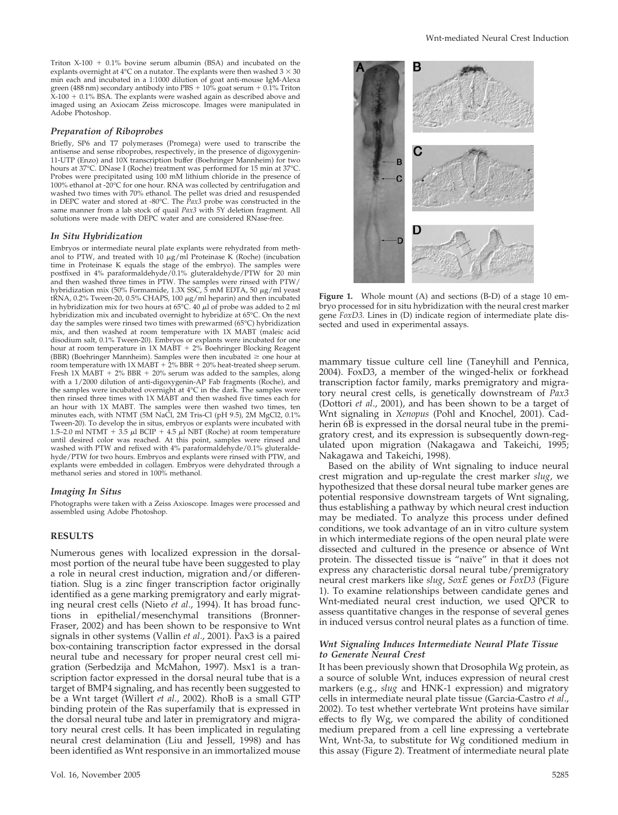Triton  $X-100 + 0.1\%$  bovine serum albumin (BSA) and incubated on the explants overnight at 4°C on a nutator. The explants were then washed 3  $\times$  30 min each and incubated in a 1:1000 dilution of goat anti-mouse IgM-Alexa green (488 nm) secondary antibody into PBS  $+10\%$  goat serum  $+0.1\%$  Triton  $X-100 + 0.1\%$  BSA. The explants were washed again as described above and imaged using an Axiocam Zeiss microscope. Images were manipulated in Adobe Photoshop.

#### *Preparation of Riboprobes*

Briefly, SP6 and T7 polymerases (Promega) were used to transcribe the antisense and sense riboprobes, respectively, in the presence of digoxygenin-11-UTP (Enzo) and 10X transcription buffer (Boehringer Mannheim) for two hours at 37°C. DNase I (Roche) treatment was performed for 15 min at 37°C. Probes were precipitated using 100 mM lithium chloride in the presence of 100% ethanol at -20°C for one hour. RNA was collected by centrifugation and washed two times with 70% ethanol. The pellet was dried and resuspended in DEPC water and stored at -80°C. The *Pax3* probe was constructed in the same manner from a lab stock of quail *Pax3* with 5Y deletion fragment. All solutions were made with DEPC water and are considered RNase-free.

#### *In Situ Hybridization*

Embryos or intermediate neural plate explants were rehydrated from methanol to PTW, and treated with 10  $\mu$ g/ml Proteinase K (Roche) (incubation time in Proteinase K equals the stage of the embryo). The samples were postfixed in 4% paraformaldehyde/0.1% gluteraldehyde/PTW for 20 min and then washed three times in PTW. The samples were rinsed with PTW/ hybridization mix (50% Formamide, 1.3X SSC, 5 mM EDTA, 50  $\mu$ g/ml yeast tRNA, 0.2% Tween-20, 0.5% CHAPS, 100  $\mu$ g/ml heparin) and then incubated in hybridization mix for two hours at 65°C. 40  $\mu$ l of probe was added to 2 ml hybridization mix and incubated overnight to hybridize at 65°C. On the next day the samples were rinsed two times with prewarmed (65°C) hybridization mix, and then washed at room temperature with 1X MABT (maleic acid disodium salt, 0.1% Tween-20). Embryos or explants were incubated for one hour at room temperature in 1X MABT 2% Boehringer Blocking Reagent (BBR) (Boehringer Mannheim). Samples were then incubated  $\geq$  one hour at room temperature with  $1X$  MABT  $+2\%$  BBR  $+20\%$  heat-treated sheep serum. Fresh 1X MABT  $+$  2% BBR  $+$  20% serum was added to the samples, along with a 1/2000 dilution of anti-digoxygenin-AP Fab fragments (Roche), and the samples were incubated overnight at 4°C in the dark. The samples were then rinsed three times with 1X MABT and then washed five times each for an hour with 1X MABT. The samples were then washed two times, ten minutes each, with NTMT (5M NaCl, 2M Tris-Cl (pH 9.5), 2M MgCl2, 0.1% Tween-20). To develop the in situs, embryos or explants were incubated with 1.5–2.0 ml NTMT + 3.5  $\mu$ l BCIP + 4.5  $\mu$ l NBT (Roche) at room temperature until desired color was reached. At this point, samples were rinsed and washed with PTW and refixed with 4% paraformaldehyde/0.1% gluteraldehyde/PTW for two hours. Embryos and explants were rinsed with PTW, and explants were embedded in collagen. Embryos were dehydrated through a methanol series and stored in 100% methanol.

#### *Imaging In Situs*

Photographs were taken with a Zeiss Axioscope. Images were processed and assembled using Adobe Photoshop.

#### **RESULTS**

Numerous genes with localized expression in the dorsalmost portion of the neural tube have been suggested to play a role in neural crest induction, migration and/or differentiation. Slug is a zinc finger transcription factor originally identified as a gene marking premigratory and early migrating neural crest cells (Nieto *et al*., 1994). It has broad functions in epithelial/mesenchymal transitions (Bronner-Fraser, 2002) and has been shown to be responsive to Wnt signals in other systems (Vallin *et al*., 2001). Pax3 is a paired box-containing transcription factor expressed in the dorsal neural tube and necessary for proper neural crest cell migration (Serbedzija and McMahon, 1997). Msx1 is a transcription factor expressed in the dorsal neural tube that is a target of BMP4 signaling, and has recently been suggested to be a Wnt target (Willert *et al*., 2002). RhoB is a small GTP binding protein of the Ras superfamily that is expressed in the dorsal neural tube and later in premigratory and migratory neural crest cells. It has been implicated in regulating neural crest delamination (Liu and Jessell, 1998) and has been identified as Wnt responsive in an immortalized mouse



**Figure 1.** Whole mount (A) and sections (B-D) of a stage 10 embryo processed for in situ hybridization with the neural crest marker gene *FoxD3*. Lines in (D) indicate region of intermediate plate dissected and used in experimental assays.

mammary tissue culture cell line (Taneyhill and Pennica, 2004). FoxD3, a member of the winged-helix or forkhead transcription factor family, marks premigratory and migratory neural crest cells, is genetically downstream of *Pax3* (Dottori *et al*., 2001), and has been shown to be a target of Wnt signaling in *Xenopus* (Pohl and Knochel, 2001). Cadherin 6B is expressed in the dorsal neural tube in the premigratory crest, and its expression is subsequently down-regulated upon migration (Nakagawa and Takeichi, 1995; Nakagawa and Takeichi, 1998).

Based on the ability of Wnt signaling to induce neural crest migration and up-regulate the crest marker *slug*, we hypothesized that these dorsal neural tube marker genes are potential responsive downstream targets of Wnt signaling, thus establishing a pathway by which neural crest induction may be mediated. To analyze this process under defined conditions, we took advantage of an in vitro culture system in which intermediate regions of the open neural plate were dissected and cultured in the presence or absence of Wnt protein. The dissected tissue is "naïve" in that it does not express any characteristic dorsal neural tube/premigratory neural crest markers like *slug*, *SoxE* genes or *FoxD3* (Figure 1). To examine relationships between candidate genes and Wnt-mediated neural crest induction, we used QPCR to assess quantitative changes in the response of several genes in induced versus control neural plates as a function of time.

#### *Wnt Signaling Induces Intermediate Neural Plate Tissue to Generate Neural Crest*

It has been previously shown that Drosophila Wg protein, as a source of soluble Wnt, induces expression of neural crest markers (e.g., *slug* and HNK-1 expression) and migratory cells in intermediate neural plate tissue (Garcia-Castro *et al*., 2002). To test whether vertebrate Wnt proteins have similar effects to fly Wg, we compared the ability of conditioned medium prepared from a cell line expressing a vertebrate Wnt, Wnt-3a, to substitute for Wg conditioned medium in this assay (Figure 2). Treatment of intermediate neural plate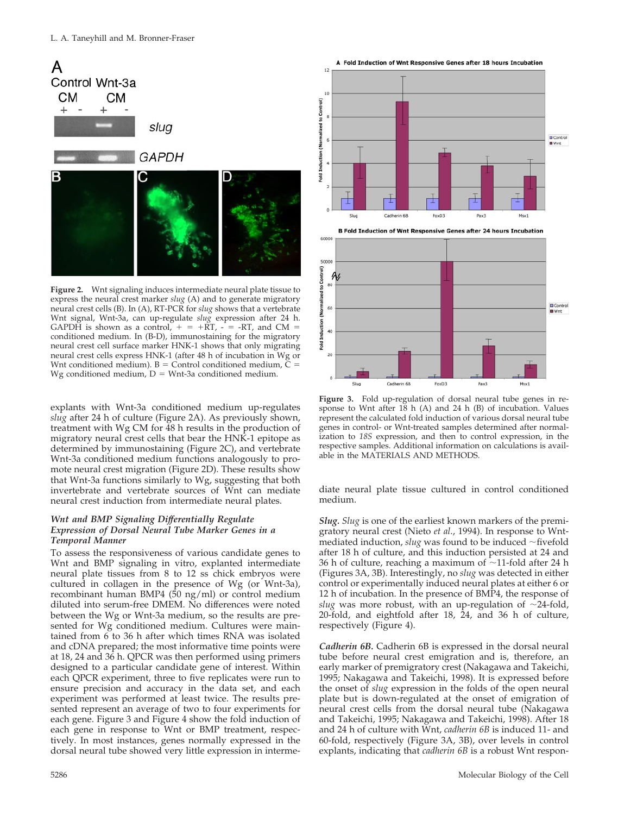

**Figure 2.** Wnt signaling induces intermediate neural plate tissue to express the neural crest marker *slug* (A) and to generate migratory neural crest cells (B). In (A), RT-PCR for *slug* shows that a vertebrate Wnt signal, Wnt-3a, can up-regulate *slug* expression after 24 h. GAPDH is shown as a control,  $+$  =  $+\overline{RT}$ ,  $-$  =  $-RT$ , and CM = conditioned medium. In (B-D), immunostaining for the migratory neural crest cell surface marker HNK-1 shows that only migrating neural crest cells express HNK-1 (after 48 h of incubation in Wg or Wnt conditioned medium).  $B =$  Control conditioned medium,  $\tilde{C} =$ Wg conditioned medium,  $D = W$ nt-3a conditioned medium.

explants with Wnt-3a conditioned medium up-regulates *slug* after 24 h of culture (Figure 2A). As previously shown, treatment with Wg CM for 48 h results in the production of migratory neural crest cells that bear the HNK-1 epitope as determined by immunostaining (Figure 2C), and vertebrate Wnt-3a conditioned medium functions analogously to promote neural crest migration (Figure 2D). These results show that Wnt-3a functions similarly to Wg, suggesting that both invertebrate and vertebrate sources of Wnt can mediate neural crest induction from intermediate neural plates.

# *Wnt and BMP Signaling Differentially Regulate Expression of Dorsal Neural Tube Marker Genes in a Temporal Manner*

To assess the responsiveness of various candidate genes to Wnt and BMP signaling in vitro, explanted intermediate neural plate tissues from 8 to 12 ss chick embryos were cultured in collagen in the presence of Wg (or Wnt-3a), recombinant human BMP4 ( $\overline{50}$  ng/ml) or control medium diluted into serum-free DMEM. No differences were noted between the Wg or Wnt-3a medium, so the results are presented for Wg conditioned medium. Cultures were maintained from 6 to 36 h after which times RNA was isolated and cDNA prepared; the most informative time points were at 18, 24 and 36 h. QPCR was then performed using primers designed to a particular candidate gene of interest. Within each QPCR experiment, three to five replicates were run to ensure precision and accuracy in the data set, and each experiment was performed at least twice. The results presented represent an average of two to four experiments for each gene. Figure 3 and Figure 4 show the fold induction of each gene in response to Wnt or BMP treatment, respectively. In most instances, genes normally expressed in the dorsal neural tube showed very little expression in interme-



**Figure 3.** Fold up-regulation of dorsal neural tube genes in response to Wnt after 18 h (A) and 24 h (B) of incubation. Values represent the calculated fold induction of various dorsal neural tube genes in control- or Wnt-treated samples determined after normalization to *18S* expression, and then to control expression, in the respective samples. Additional information on calculations is available in the MATERIALS AND METHODS.

FoxD3

Pax3

Msx1

Cadherin 68

Fold 20

diate neural plate tissue cultured in control conditioned medium.

*Slug. Slug* is one of the earliest known markers of the premigratory neural crest (Nieto *et al*., 1994). In response to Wntmediated induction, *slug* was found to be induced  $\sim$  fivefold after 18 h of culture, and this induction persisted at 24 and 36 h of culture, reaching a maximum of  $\sim$ 11-fold after 24 h (Figures 3A, 3B). Interestingly, no *slug* was detected in either control or experimentally induced neural plates at either 6 or 12 h of incubation. In the presence of BMP4, the response of *slug* was more robust, with an up-regulation of  $\sim$ 24-fold, 20-fold, and eightfold after 18, 24, and 36 h of culture, respectively (Figure 4).

*Cadherin 6B.* Cadherin 6B is expressed in the dorsal neural tube before neural crest emigration and is, therefore, an early marker of premigratory crest (Nakagawa and Takeichi, 1995; Nakagawa and Takeichi, 1998). It is expressed before the onset of *slug* expression in the folds of the open neural plate but is down-regulated at the onset of emigration of neural crest cells from the dorsal neural tube (Nakagawa and Takeichi, 1995; Nakagawa and Takeichi, 1998). After 18 and 24 h of culture with Wnt, *cadherin 6B* is induced 11- and 60-fold, respectively (Figure 3A, 3B), over levels in control explants, indicating that *cadherin 6B* is a robust Wnt respon-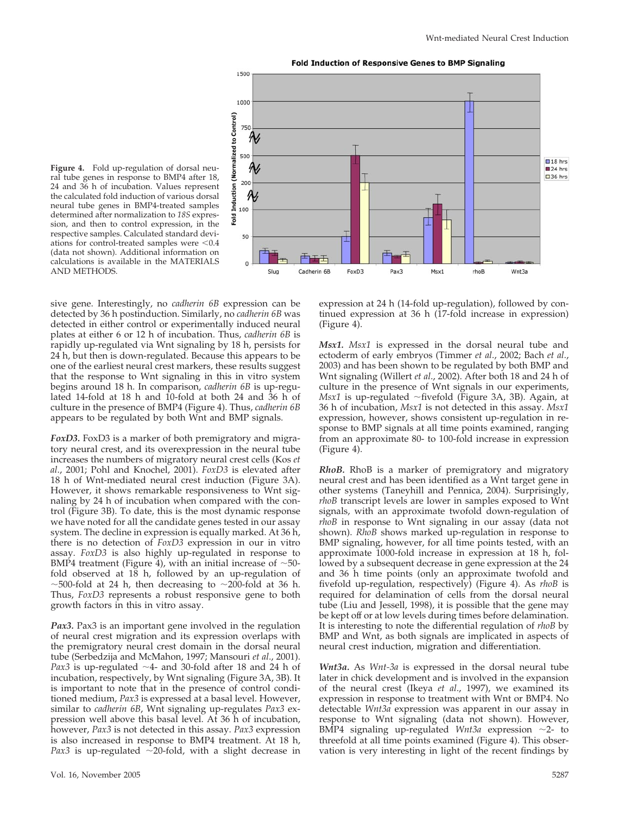

Fold Induction of Responsive Genes to BMP Signaling

**Figure 4.** Fold up-regulation of dorsal neural tube genes in response to BMP4 after 18, 24 and 36 h of incubation. Values represent the calculated fold induction of various dorsal neural tube genes in BMP4-treated samples determined after normalization to *18S* expression, and then to control expression, in the respective samples. Calculated standard deviations for control-treated samples were  $< 0.4$ (data not shown). Additional information on calculations is available in the MATERIALS AND METHODS.

sive gene. Interestingly, no *cadherin 6B* expression can be detected by 36 h postinduction. Similarly, no *cadherin 6B* was detected in either control or experimentally induced neural plates at either 6 or 12 h of incubation. Thus, *cadherin 6B* is rapidly up-regulated via Wnt signaling by 18 h, persists for 24 h, but then is down-regulated. Because this appears to be one of the earliest neural crest markers, these results suggest that the response to Wnt signaling in this in vitro system begins around 18 h. In comparison, *cadherin 6B* is up-regulated 14-fold at 18 h and 10-fold at both 24 and 36 h of culture in the presence of BMP4 (Figure 4). Thus, *cadherin 6B* appears to be regulated by both Wnt and BMP signals.

*FoxD3.* FoxD3 is a marker of both premigratory and migratory neural crest, and its overexpression in the neural tube increases the numbers of migratory neural crest cells (Kos *et al*., 2001; Pohl and Knochel, 2001). *FoxD3* is elevated after 18 h of Wnt-mediated neural crest induction (Figure 3A). However, it shows remarkable responsiveness to Wnt signaling by 24 h of incubation when compared with the control (Figure 3B). To date, this is the most dynamic response we have noted for all the candidate genes tested in our assay system. The decline in expression is equally marked. At 36 h, there is no detection of *FoxD3* expression in our in vitro assay. *FoxD3* is also highly up-regulated in response to BMP4 treatment (Figure 4), with an initial increase of  $\sim$  50fold observed at 18 h, followed by an up-regulation of  $\sim$ 500-fold at 24 h, then decreasing to  $\sim$ 200-fold at 36 h. Thus, *FoxD3* represents a robust responsive gene to both growth factors in this in vitro assay.

*Pax3.* Pax3 is an important gene involved in the regulation of neural crest migration and its expression overlaps with the premigratory neural crest domain in the dorsal neural tube (Serbedzija and McMahon, 1997; Mansouri *et al*., 2001). *Pax3* is up-regulated  $\sim$ 4- and 30-fold after 18 and 24 h of incubation, respectively, by Wnt signaling (Figure 3A, 3B). It is important to note that in the presence of control conditioned medium, *Pax3* is expressed at a basal level. However, similar to *cadherin 6B*, Wnt signaling up-regulates *Pax3* expression well above this basal level. At 36 h of incubation, however, *Pax3* is not detected in this assay. *Pax3* expression is also increased in response to BMP4 treatment. At 18 h, *Pax3* is up-regulated  $\sim$ 20-fold, with a slight decrease in

expression at 24 h (14-fold up-regulation), followed by continued expression at 36 h (17-fold increase in expression) (Figure 4).

*Msx1. Msx1* is expressed in the dorsal neural tube and ectoderm of early embryos (Timmer *et al*., 2002; Bach *et al*., 2003) and has been shown to be regulated by both BMP and Wnt signaling (Willert *et al*., 2002). After both 18 and 24 h of culture in the presence of Wnt signals in our experiments,  $Msx1$  is up-regulated ~fivefold (Figure 3A, 3B). Again, at 36 h of incubation, *Msx1* is not detected in this assay. *Msx1* expression, however, shows consistent up-regulation in response to BMP signals at all time points examined, ranging from an approximate 80- to 100-fold increase in expression (Figure 4).

*RhoB.* RhoB is a marker of premigratory and migratory neural crest and has been identified as a Wnt target gene in other systems (Taneyhill and Pennica, 2004). Surprisingly, *rhoB* transcript levels are lower in samples exposed to Wnt signals, with an approximate twofold down-regulation of *rhoB* in response to Wnt signaling in our assay (data not shown). *RhoB* shows marked up-regulation in response to BMP signaling, however, for all time points tested, with an approximate 1000-fold increase in expression at 18 h, followed by a subsequent decrease in gene expression at the 24 and 36 h time points (only an approximate twofold and fivefold up-regulation, respectively) (Figure 4). As *rhoB* is required for delamination of cells from the dorsal neural tube (Liu and Jessell, 1998), it is possible that the gene may be kept off or at low levels during times before delamination. It is interesting to note the differential regulation of *rhoB* by BMP and Wnt, as both signals are implicated in aspects of neural crest induction, migration and differentiation.

*Wnt3a.* As *Wnt-3a* is expressed in the dorsal neural tube later in chick development and is involved in the expansion of the neural crest (Ikeya *et al*., 1997), we examined its expression in response to treatment with Wnt or BMP4. No detectable *Wnt3a* expression was apparent in our assay in response to Wnt signaling (data not shown). However, BMP4 signaling up-regulated *Wnt3a* expression  $\sim$ 2- to threefold at all time points examined (Figure 4). This observation is very interesting in light of the recent findings by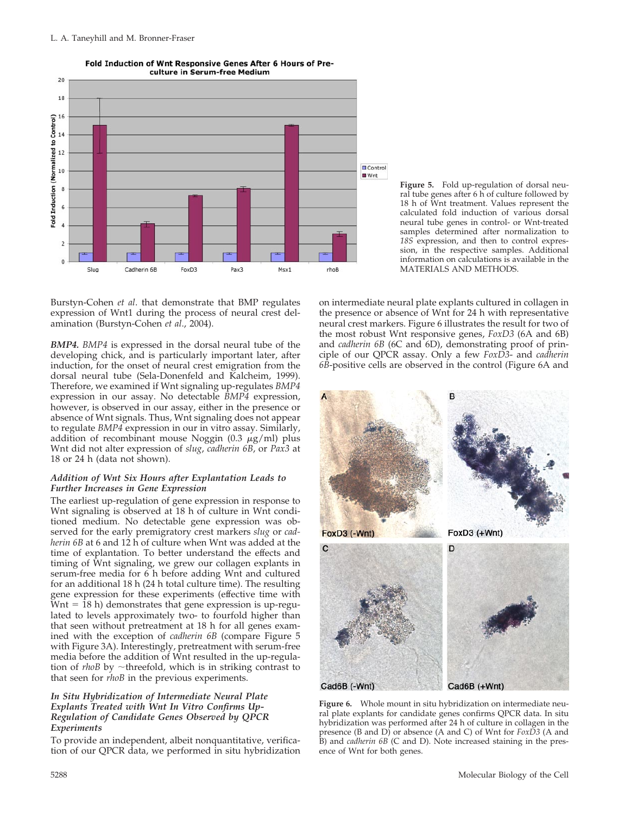

#### Fold Induction of Wnt Responsive Genes After 6 Hours of Preculture in Serum-free Medium

**Figure 5.** Fold up-regulation of dorsal neural tube genes after 6 h of culture followed by 18 h of Wnt treatment. Values represent the calculated fold induction of various dorsal neural tube genes in control- or Wnt-treated samples determined after normalization to *18S* expression, and then to control expression, in the respective samples. Additional information on calculations is available in the MATERIALS AND METHODS.

Burstyn-Cohen *et al*. that demonstrate that BMP regulates expression of Wnt1 during the process of neural crest delamination (Burstyn-Cohen *et al*., 2004).

*BMP4. BMP4* is expressed in the dorsal neural tube of the developing chick, and is particularly important later, after induction, for the onset of neural crest emigration from the dorsal neural tube (Sela-Donenfeld and Kalcheim, 1999). Therefore, we examined if Wnt signaling up-regulates *BMP4* expression in our assay. No detectable *BMP4* expression, however, is observed in our assay, either in the presence or absence of Wnt signals. Thus, Wnt signaling does not appear to regulate *BMP4* expression in our in vitro assay. Similarly, addition of recombinant mouse Noggin (0.3  $\mu$ g/ml) plus Wnt did not alter expression of *slug*, *cadherin 6B*, or *Pax3* at 18 or 24 h (data not shown).

# *Addition of Wnt Six Hours after Explantation Leads to Further Increases in Gene Expression*

The earliest up-regulation of gene expression in response to Wnt signaling is observed at 18 h of culture in Wnt conditioned medium. No detectable gene expression was observed for the early premigratory crest markers *slug* or *cadherin 6B* at 6 and 12 h of culture when Wnt was added at the time of explantation. To better understand the effects and timing of Wnt signaling, we grew our collagen explants in serum-free media for 6 h before adding Wnt and cultured for an additional 18 h (24 h total culture time). The resulting gene expression for these experiments (effective time with Wnt  $= 18$  h) demonstrates that gene expression is up-regulated to levels approximately two- to fourfold higher than that seen without pretreatment at 18 h for all genes examined with the exception of *cadherin 6B* (compare Figure 5 with Figure 3A). Interestingly, pretreatment with serum-free media before the addition of Wnt resulted in the up-regulation of *rhoB* by  $\sim$ threefold, which is in striking contrast to that seen for *rhoB* in the previous experiments.

# *In Situ Hybridization of Intermediate Neural Plate Explants Treated with Wnt In Vitro Confirms Up-Regulation of Candidate Genes Observed by QPCR Experiments*

To provide an independent, albeit nonquantitative, verification of our QPCR data, we performed in situ hybridization on intermediate neural plate explants cultured in collagen in the presence or absence of Wnt for 24 h with representative neural crest markers. Figure 6 illustrates the result for two of the most robust Wnt responsive genes, *FoxD3* (6A and 6B) and *cadherin 6B* (6C and 6D), demonstrating proof of principle of our QPCR assay. Only a few *FoxD3*- and *cadherin 6B*-positive cells are observed in the control (Figure 6A and



**Figure 6.** Whole mount in situ hybridization on intermediate neural plate explants for candidate genes confirms QPCR data. In situ hybridization was performed after 24 h of culture in collagen in the presence (B and D) or absence (A and C) of Wnt for *FoxD3* (A and B) and *cadherin 6B* (C and D). Note increased staining in the presence of Wnt for both genes.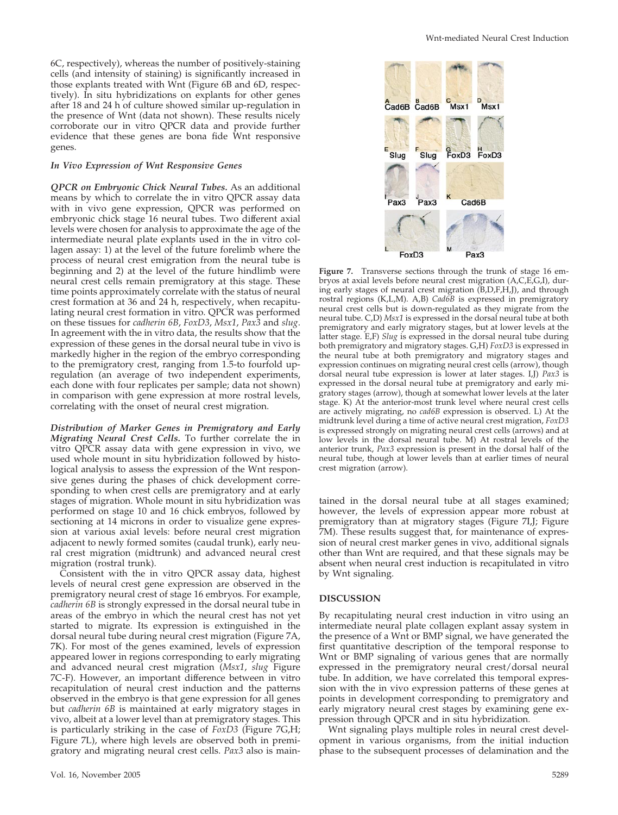6C, respectively), whereas the number of positively-staining cells (and intensity of staining) is significantly increased in those explants treated with Wnt (Figure 6B and 6D, respectively). In situ hybridizations on explants for other genes after 18 and 24 h of culture showed similar up-regulation in the presence of Wnt (data not shown). These results nicely corroborate our in vitro QPCR data and provide further evidence that these genes are bona fide Wnt responsive genes.

#### *In Vivo Expression of Wnt Responsive Genes*

*QPCR on Embryonic Chick Neural Tubes.* As an additional means by which to correlate the in vitro QPCR assay data with in vivo gene expression, QPCR was performed on embryonic chick stage 16 neural tubes. Two different axial levels were chosen for analysis to approximate the age of the intermediate neural plate explants used in the in vitro collagen assay: 1) at the level of the future forelimb where the process of neural crest emigration from the neural tube is beginning and 2) at the level of the future hindlimb were neural crest cells remain premigratory at this stage. These time points approximately correlate with the status of neural crest formation at 36 and 24 h, respectively, when recapitulating neural crest formation in vitro. QPCR was performed on these tissues for *cadherin 6B*, *FoxD3*, *Msx1*, *Pax3* and *slug*. In agreement with the in vitro data, the results show that the expression of these genes in the dorsal neural tube in vivo is markedly higher in the region of the embryo corresponding to the premigratory crest, ranging from 1.5-to fourfold upregulation (an average of two independent experiments, each done with four replicates per sample; data not shown) in comparison with gene expression at more rostral levels, correlating with the onset of neural crest migration.

*Distribution of Marker Genes in Premigratory and Early Migrating Neural Crest Cells.* To further correlate the in vitro QPCR assay data with gene expression in vivo, we used whole mount in situ hybridization followed by histological analysis to assess the expression of the Wnt responsive genes during the phases of chick development corresponding to when crest cells are premigratory and at early stages of migration. Whole mount in situ hybridization was performed on stage 10 and 16 chick embryos, followed by sectioning at 14 microns in order to visualize gene expression at various axial levels: before neural crest migration adjacent to newly formed somites (caudal trunk), early neural crest migration (midtrunk) and advanced neural crest migration (rostral trunk).

Consistent with the in vitro QPCR assay data, highest levels of neural crest gene expression are observed in the premigratory neural crest of stage 16 embryos. For example, *cadherin 6B* is strongly expressed in the dorsal neural tube in areas of the embryo in which the neural crest has not yet started to migrate. Its expression is extinguished in the dorsal neural tube during neural crest migration (Figure 7A, 7K). For most of the genes examined, levels of expression appeared lower in regions corresponding to early migrating and advanced neural crest migration (*Msx1*, *slug* Figure 7C-F). However, an important difference between in vitro recapitulation of neural crest induction and the patterns observed in the embryo is that gene expression for all genes but *cadherin 6B* is maintained at early migratory stages in vivo, albeit at a lower level than at premigratory stages. This is particularly striking in the case of *FoxD3* (Figure 7G,H; Figure 7L), where high levels are observed both in premigratory and migrating neural crest cells. *Pax3* also is main-



**Figure 7.** Transverse sections through the trunk of stage 16 embryos at axial levels before neural crest migration (A,C,E,G,I), during early stages of neural crest migration (B,D,F,H,J), and through rostral regions (K,L,M). A,B) *Cad6B* is expressed in premigratory neural crest cells but is down-regulated as they migrate from the neural tube. C,D) *Msx1* is expressed in the dorsal neural tube at both premigratory and early migratory stages, but at lower levels at the latter stage. E,F) *Slug* is expressed in the dorsal neural tube during both premigratory and migratory stages. G,H) *FoxD3* is expressed in the neural tube at both premigratory and migratory stages and expression continues on migrating neural crest cells (arrow), though dorsal neural tube expression is lower at later stages. I,J) *Pax3* is expressed in the dorsal neural tube at premigratory and early migratory stages (arrow), though at somewhat lower levels at the later stage. K) At the anterior-most trunk level where neural crest cells are actively migrating, no *cad6B* expression is observed. L) At the midtrunk level during a time of active neural crest migration, *FoxD3* is expressed strongly on migrating neural crest cells (arrows) and at low levels in the dorsal neural tube. M) At rostral levels of the anterior trunk, *Pax3* expression is present in the dorsal half of the neural tube, though at lower levels than at earlier times of neural crest migration (arrow).

tained in the dorsal neural tube at all stages examined; however, the levels of expression appear more robust at premigratory than at migratory stages (Figure 7I,J; Figure 7M). These results suggest that, for maintenance of expression of neural crest marker genes in vivo, additional signals other than Wnt are required, and that these signals may be absent when neural crest induction is recapitulated in vitro by Wnt signaling.

#### **DISCUSSION**

By recapitulating neural crest induction in vitro using an intermediate neural plate collagen explant assay system in the presence of a Wnt or BMP signal, we have generated the first quantitative description of the temporal response to Wnt or BMP signaling of various genes that are normally expressed in the premigratory neural crest/dorsal neural tube. In addition, we have correlated this temporal expression with the in vivo expression patterns of these genes at points in development corresponding to premigratory and early migratory neural crest stages by examining gene expression through QPCR and in situ hybridization.

Wnt signaling plays multiple roles in neural crest development in various organisms, from the initial induction phase to the subsequent processes of delamination and the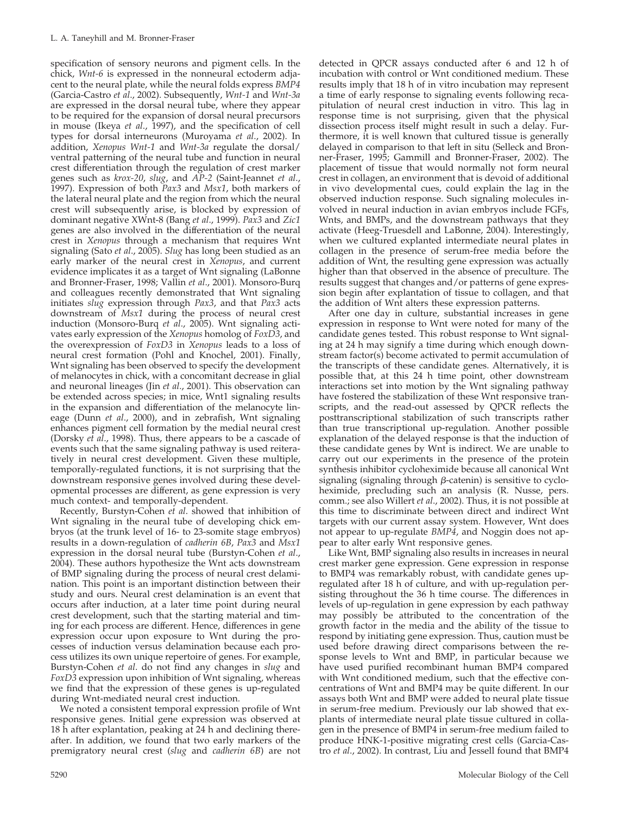specification of sensory neurons and pigment cells. In the chick, *Wnt-6* is expressed in the nonneural ectoderm adjacent to the neural plate, while the neural folds express *BMP4* (Garcia-Castro *et al*., 2002). Subsequently, *Wnt-1* and *Wnt-3a* are expressed in the dorsal neural tube, where they appear to be required for the expansion of dorsal neural precursors in mouse (Ikeya *et al*., 1997), and the specification of cell types for dorsal interneurons (Muroyama *et al*., 2002). In addition, *Xenopus Wnt-1* and *Wnt-3a* regulate the dorsal/ ventral patterning of the neural tube and function in neural crest differentiation through the regulation of crest marker genes such as *krox-20*, *slug*, and *AP-2* (Saint-Jeannet *et al*., 1997). Expression of both *Pax3* and *Msx1*, both markers of the lateral neural plate and the region from which the neural crest will subsequently arise, is blocked by expression of dominant negative XWnt-8 (Bang *et al*., 1999). *Pax3* and *Zic1* genes are also involved in the differentiation of the neural crest in *Xenopus* through a mechanism that requires Wnt signaling (Sato *et al*., 2005). *Slug* has long been studied as an early marker of the neural crest in *Xenopus*, and current evidence implicates it as a target of Wnt signaling (LaBonne and Bronner-Fraser, 1998; Vallin *et al*., 2001). Monsoro-Burq and colleagues recently demonstrated that Wnt signaling initiates *slug* expression through *Pax3*, and that *Pax3* acts downstream of *Msx1* during the process of neural crest induction (Monsoro-Burq *et al*., 2005). Wnt signaling activates early expression of the *Xenopus* homolog of *FoxD3*, and the overexpression of *FoxD3* in *Xenopus* leads to a loss of neural crest formation (Pohl and Knochel, 2001). Finally, Wnt signaling has been observed to specify the development of melanocytes in chick, with a concomitant decrease in glial and neuronal lineages (Jin *et al*., 2001). This observation can be extended across species; in mice, Wnt1 signaling results in the expansion and differentiation of the melanocyte lineage (Dunn *et al*., 2000), and in zebrafish, Wnt signaling enhances pigment cell formation by the medial neural crest (Dorsky *et al*., 1998). Thus, there appears to be a cascade of events such that the same signaling pathway is used reiteratively in neural crest development. Given these multiple, temporally-regulated functions, it is not surprising that the downstream responsive genes involved during these developmental processes are different, as gene expression is very much context- and temporally-dependent.

Recently, Burstyn-Cohen *et al*. showed that inhibition of Wnt signaling in the neural tube of developing chick embryos (at the trunk level of 16- to 23-somite stage embryos) results in a down-regulation of *cadherin 6B*, *Pax3* and *Msx1* expression in the dorsal neural tube (Burstyn-Cohen *et al*., 2004). These authors hypothesize the Wnt acts downstream of BMP signaling during the process of neural crest delamination. This point is an important distinction between their study and ours. Neural crest delamination is an event that occurs after induction, at a later time point during neural crest development, such that the starting material and timing for each process are different. Hence, differences in gene expression occur upon exposure to Wnt during the processes of induction versus delamination because each process utilizes its own unique repertoire of genes. For example, Burstyn-Cohen *et al*. do not find any changes in *slug* and *FoxD3* expression upon inhibition of Wnt signaling, whereas we find that the expression of these genes is up-regulated during Wnt-mediated neural crest induction.

We noted a consistent temporal expression profile of Wnt responsive genes. Initial gene expression was observed at 18 h after explantation, peaking at 24 h and declining thereafter. In addition, we found that two early markers of the premigratory neural crest (*slug* and *cadherin 6B*) are not

detected in QPCR assays conducted after 6 and 12 h of incubation with control or Wnt conditioned medium. These results imply that 18 h of in vitro incubation may represent a time of early response to signaling events following recapitulation of neural crest induction in vitro. This lag in response time is not surprising, given that the physical dissection process itself might result in such a delay. Furthermore, it is well known that cultured tissue is generally delayed in comparison to that left in situ (Selleck and Bronner-Fraser, 1995; Gammill and Bronner-Fraser, 2002). The placement of tissue that would normally not form neural crest in collagen, an environment that is devoid of additional in vivo developmental cues, could explain the lag in the observed induction response. Such signaling molecules involved in neural induction in avian embryos include FGFs, Wnts, and BMPs, and the downstream pathways that they activate (Heeg-Truesdell and LaBonne, 2004). Interestingly, when we cultured explanted intermediate neural plates in collagen in the presence of serum-free media before the addition of Wnt, the resulting gene expression was actually higher than that observed in the absence of preculture. The results suggest that changes and/or patterns of gene expression begin after explantation of tissue to collagen, and that the addition of Wnt alters these expression patterns.

After one day in culture, substantial increases in gene expression in response to Wnt were noted for many of the candidate genes tested. This robust response to Wnt signaling at 24 h may signify a time during which enough downstream factor(s) become activated to permit accumulation of the transcripts of these candidate genes. Alternatively, it is possible that, at this 24 h time point, other downstream interactions set into motion by the Wnt signaling pathway have fostered the stabilization of these Wnt responsive transcripts, and the read-out assessed by QPCR reflects the posttranscriptional stabilization of such transcripts rather than true transcriptional up-regulation. Another possible explanation of the delayed response is that the induction of these candidate genes by Wnt is indirect. We are unable to carry out our experiments in the presence of the protein synthesis inhibitor cycloheximide because all canonical Wnt signaling (signaling through  $\beta$ -catenin) is sensitive to cycloheximide, precluding such an analysis (R. Nusse, pers. comm.; see also Willert *et al*., 2002). Thus, it is not possible at this time to discriminate between direct and indirect Wnt targets with our current assay system. However, Wnt does not appear to up-regulate *BMP4*, and Noggin does not appear to alter early Wnt responsive genes.

Like Wnt, BMP signaling also results in increases in neural crest marker gene expression. Gene expression in response to BMP4 was remarkably robust, with candidate genes upregulated after 18 h of culture, and with up-regulation persisting throughout the 36 h time course. The differences in levels of up-regulation in gene expression by each pathway may possibly be attributed to the concentration of the growth factor in the media and the ability of the tissue to respond by initiating gene expression. Thus, caution must be used before drawing direct comparisons between the response levels to Wnt and BMP, in particular because we have used purified recombinant human BMP4 compared with Wnt conditioned medium, such that the effective concentrations of Wnt and BMP4 may be quite different. In our assays both Wnt and BMP were added to neural plate tissue in serum-free medium. Previously our lab showed that explants of intermediate neural plate tissue cultured in collagen in the presence of BMP4 in serum-free medium failed to produce HNK-1-positive migrating crest cells (Garcia-Castro *et al*., 2002). In contrast, Liu and Jessell found that BMP4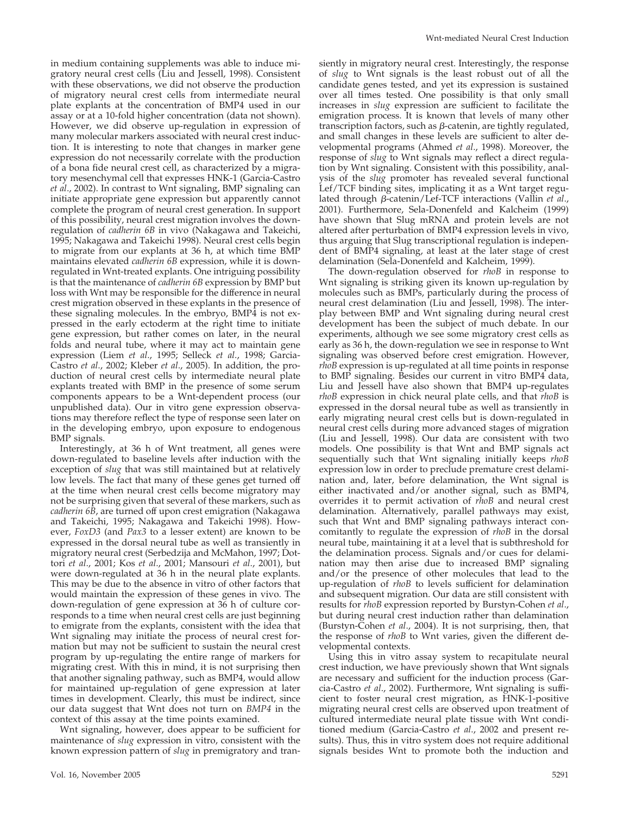in medium containing supplements was able to induce migratory neural crest cells (Liu and Jessell, 1998). Consistent with these observations, we did not observe the production of migratory neural crest cells from intermediate neural plate explants at the concentration of BMP4 used in our assay or at a 10-fold higher concentration (data not shown). However, we did observe up-regulation in expression of many molecular markers associated with neural crest induction. It is interesting to note that changes in marker gene expression do not necessarily correlate with the production of a bona fide neural crest cell, as characterized by a migratory mesenchymal cell that expresses HNK-1 (Garcia-Castro *et al*., 2002). In contrast to Wnt signaling, BMP signaling can initiate appropriate gene expression but apparently cannot complete the program of neural crest generation. In support of this possibility, neural crest migration involves the downregulation of *cadherin 6B* in vivo (Nakagawa and Takeichi, 1995; Nakagawa and Takeichi 1998). Neural crest cells begin to migrate from our explants at 36 h, at which time BMP maintains elevated *cadherin 6B* expression, while it is downregulated in Wnt-treated explants. One intriguing possibility is that the maintenance of *cadherin 6B* expression by BMP but loss with Wnt may be responsible for the difference in neural crest migration observed in these explants in the presence of these signaling molecules. In the embryo, BMP4 is not expressed in the early ectoderm at the right time to initiate gene expression, but rather comes on later, in the neural folds and neural tube, where it may act to maintain gene expression (Liem *et al*., 1995; Selleck *et al*., 1998; Garcia-Castro *et al*., 2002; Kleber *et al*., 2005). In addition, the production of neural crest cells by intermediate neural plate explants treated with BMP in the presence of some serum components appears to be a Wnt-dependent process (our unpublished data). Our in vitro gene expression observations may therefore reflect the type of response seen later on in the developing embryo, upon exposure to endogenous BMP signals.

Interestingly, at 36 h of Wnt treatment, all genes were down-regulated to baseline levels after induction with the exception of *slug* that was still maintained but at relatively low levels. The fact that many of these genes get turned off at the time when neural crest cells become migratory may not be surprising given that several of these markers, such as *cadherin 6B*, are turned off upon crest emigration (Nakagawa and Takeichi, 1995; Nakagawa and Takeichi 1998). However, *FoxD3* (and *Pax3* to a lesser extent) are known to be expressed in the dorsal neural tube as well as transiently in migratory neural crest (Serbedzija and McMahon, 1997; Dottori *et al*., 2001; Kos *et al*., 2001; Mansouri *et al*., 2001), but were down-regulated at 36 h in the neural plate explants. This may be due to the absence in vitro of other factors that would maintain the expression of these genes in vivo. The down-regulation of gene expression at 36 h of culture corresponds to a time when neural crest cells are just beginning to emigrate from the explants, consistent with the idea that Wnt signaling may initiate the process of neural crest formation but may not be sufficient to sustain the neural crest program by up-regulating the entire range of markers for migrating crest. With this in mind, it is not surprising then that another signaling pathway, such as BMP4, would allow for maintained up-regulation of gene expression at later times in development. Clearly, this must be indirect, since our data suggest that Wnt does not turn on *BMP4* in the context of this assay at the time points examined.

Wnt signaling, however, does appear to be sufficient for maintenance of *slug* expression in vitro, consistent with the known expression pattern of *slug* in premigratory and transiently in migratory neural crest. Interestingly, the response of *slug* to Wnt signals is the least robust out of all the candidate genes tested, and yet its expression is sustained over all times tested. One possibility is that only small increases in *slug* expression are sufficient to facilitate the emigration process. It is known that levels of many other transcription factors, such as  $\beta$ -catenin, are tightly regulated, and small changes in these levels are sufficient to alter developmental programs (Ahmed *et al*., 1998). Moreover, the response of *slug* to Wnt signals may reflect a direct regulation by Wnt signaling. Consistent with this possibility, analysis of the *slug* promoter has revealed several functional Lef/TCF binding sites, implicating it as a Wnt target regulated through β-catenin/Lef-TCF interactions (Vallin *et al.*, 2001). Furthermore, Sela-Donenfeld and Kalcheim (1999) have shown that Slug mRNA and protein levels are not altered after perturbation of BMP4 expression levels in vivo, thus arguing that Slug transcriptional regulation is independent of BMP4 signaling, at least at the later stage of crest delamination (Sela-Donenfeld and Kalcheim, 1999).

The down-regulation observed for *rhoB* in response to Wnt signaling is striking given its known up-regulation by molecules such as BMPs, particularly during the process of neural crest delamination (Liu and Jessell, 1998). The interplay between BMP and Wnt signaling during neural crest development has been the subject of much debate. In our experiments, although we see some migratory crest cells as early as 36 h, the down-regulation we see in response to Wnt signaling was observed before crest emigration. However, *rhoB* expression is up-regulated at all time points in response to BMP signaling. Besides our current in vitro BMP4 data, Liu and Jessell have also shown that BMP4 up-regulates *rhoB* expression in chick neural plate cells, and that *rhoB* is expressed in the dorsal neural tube as well as transiently in early migrating neural crest cells but is down-regulated in neural crest cells during more advanced stages of migration (Liu and Jessell, 1998). Our data are consistent with two models. One possibility is that Wnt and BMP signals act sequentially such that Wnt signaling initially keeps *rhoB* expression low in order to preclude premature crest delamination and, later, before delamination, the Wnt signal is either inactivated and/or another signal, such as BMP4, overrides it to permit activation of *rhoB* and neural crest delamination. Alternatively, parallel pathways may exist, such that Wnt and BMP signaling pathways interact concomitantly to regulate the expression of *rhoB* in the dorsal neural tube, maintaining it at a level that is subthreshold for the delamination process. Signals and/or cues for delamination may then arise due to increased BMP signaling and/or the presence of other molecules that lead to the up-regulation of *rhoB* to levels sufficient for delamination and subsequent migration. Our data are still consistent with results for *rhoB* expression reported by Burstyn-Cohen *et al*., but during neural crest induction rather than delamination (Burstyn-Cohen *et al*., 2004). It is not surprising, then, that the response of *rhoB* to Wnt varies, given the different developmental contexts.

Using this in vitro assay system to recapitulate neural crest induction, we have previously shown that Wnt signals are necessary and sufficient for the induction process (Garcia-Castro *et al*., 2002). Furthermore, Wnt signaling is sufficient to foster neural crest migration, as HNK-1-positive migrating neural crest cells are observed upon treatment of cultured intermediate neural plate tissue with Wnt conditioned medium (Garcia-Castro *et al*., 2002 and present results). Thus, this in vitro system does not require additional signals besides Wnt to promote both the induction and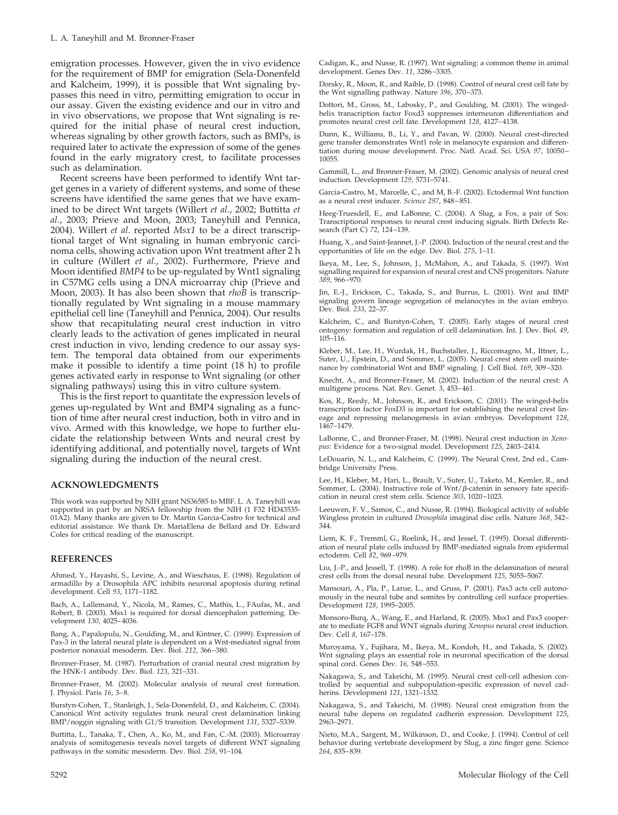emigration processes. However, given the in vivo evidence for the requirement of BMP for emigration (Sela-Donenfeld and Kalcheim, 1999), it is possible that Wnt signaling bypasses this need in vitro, permitting emigration to occur in our assay. Given the existing evidence and our in vitro and in vivo observations, we propose that Wnt signaling is required for the initial phase of neural crest induction, whereas signaling by other growth factors, such as BMPs, is required later to activate the expression of some of the genes found in the early migratory crest, to facilitate processes such as delamination.

Recent screens have been performed to identify Wnt target genes in a variety of different systems, and some of these screens have identified the same genes that we have examined to be direct Wnt targets (Willert *et al*., 2002; Buttitta *et al*., 2003; Prieve and Moon, 2003; Taneyhill and Pennica, 2004). Willert *et al*. reported *Msx1* to be a direct transcriptional target of Wnt signaling in human embryonic carcinoma cells, showing activation upon Wnt treatment after 2 h in culture (Willert *et al*., 2002). Furthermore, Prieve and Moon identified *BMP4* to be up-regulated by Wnt1 signaling in C57MG cells using a DNA microarray chip (Prieve and Moon, 2003). It has also been shown that *rhoB* is transcriptionally regulated by Wnt signaling in a mouse mammary epithelial cell line (Taneyhill and Pennica, 2004). Our results show that recapitulating neural crest induction in vitro clearly leads to the activation of genes implicated in neural crest induction in vivo, lending credence to our assay system. The temporal data obtained from our experiments make it possible to identify a time point (18 h) to profile genes activated early in response to Wnt signaling (or other signaling pathways) using this in vitro culture system.

This is the first report to quantitate the expression levels of genes up-regulated by Wnt and BMP4 signaling as a function of time after neural crest induction, both in vitro and in vivo. Armed with this knowledge, we hope to further elucidate the relationship between Wnts and neural crest by identifying additional, and potentially novel, targets of Wnt signaling during the induction of the neural crest.

# **ACKNOWLEDGMENTS**

This work was supported by NIH grant NS36585 to MBF. L. A. Taneyhill was supported in part by an NRSA fellowship from the NIH (1 F32 HD43535- 01A2). Many thanks are given to Dr. Martin Garcia-Castro for technical and editorial assistance. We thank Dr. MariaElena de Bellard and Dr. Edward Coles for critical reading of the manuscript.

# **REFERENCES**

Ahmed, Y., Hayashi, S., Levine, A., and Wieschaus, E. (1998). Regulation of armadillo by a Drosophila APC inhibits neuronal apoptosis during retinal development. Cell *93*, 1171–1182.

Bach, A., Lallemand, Y., Nicola, M., Rames, C., Mathis, L., FAufas, M., and Robert, B. (2003). Msx1 is required for dorsal diencephalon patterning. Development *130*, 4025–4036.

Bang, A., Papalopulu, N., Goulding, M., and Kintner, C. (1999). Expression of Pax-3 in the lateral neural plate is dependent on a Wnt-mediated signal from posterior nonaxial mesoderm. Dev. Biol. *212*, 366–380.

Bronner-Fraser, M. (1987). Perturbation of cranial neural crest migration by the HNK-1 antibody. Dev. Biol. *123*, 321–331.

Bronner-Fraser, M. (2002). Molecular analysis of neural crest formation. J. Physiol. Paris *16*, 3–8.

Burstyn-Cohen, T., Stanleigh, J., Sela-Donenfeld, D., and Kalcheim, C. (2004). Canonical Wnt activity regulates trunk neural crest delamination linking BMP/noggin signaling with G1/S transition. Development *131*, 5327–5339.

Buttitta, L., Tanaka, T., Chen, A., Ko, M., and Fan, C.-M. (2003). Microarray analysis of somitogenesis reveals novel targets of different WNT signaling pathways in the somitic mesoderm. Dev. Biol. *258*, 91–104.

Cadigan, K., and Nusse, R. (1997). Wnt signaling: a common theme in animal development. Genes Dev. *11*, 3286–3305.

Dorsky, R., Moon, R., and Raible, D. (1998). Control of neural crest cell fate by the Wnt signalling pathway. Nature *396*, 370–373.

Dottori, M., Gross, M., Labosky, P., and Goulding, M. (2001). The wingedhelix transcription factor Foxd3 suppresses interneuron differentiation and promotes neural crest cell fate. Development *128*, 4127–4138.

Dunn, K., Williams, B., Li, Y., and Pavan, W. (2000). Neural crest-directed gene transfer demonstrates Wnt1 role in melanocyte expansion and differentiation during mouse development. Proc. Natl. Acad. Sci. USA *97*, 10050– 10055.

Gammill, L., and Bronner-Fraser, M. (2002). Genomic analysis of neural crest induction. Development *129*, 5731–5741.

Garcia-Castro, M., Marcelle, C., and M, B.-F. (2002). Ectodermal Wnt function as a neural crest inducer. *Science 297*, 848–851.

Heeg-Truesdell, E., and LaBonne, C. (2004). A Slug, a Fox, a pair of Sox: Transcriptional responses to neural crest inducing signals. Birth Defects Research (Part C) *72*, 124–139.

Huang, X., and Saint-Jeannet, J.-P. (2004). Induction of the neural crest and the opportunities of life on the edge. Dev. Biol. *275*, 1–11.

Ikeya, M., Lee, S., Johnson, J., McMahon, A., and Takada, S. (1997). Wnt signalling required for expansion of neural crest and CNS progenitors. Nature *389*, 966–970.

Jin, E.-J., Erickson, C., Takada, S., and Burrus, L. (2001). Wnt and BMP signaling govern lineage segregation of melanocytes in the avian embryo. Dev. Biol. *233*, 22–37.

Kalcheim, C., and Burstyn-Cohen, T. (2005). Early stages of neural crest ontogeny: formation and regulation of cell delamination. Int. J. Dev. Biol. *49*,  $105 - 116$ .

Kleber, M., Lee, H., Wurdak, H., Buchstaller, J., Riccomagno, M., Ittner, L.,<br>Suter, U., Epstein, D., and Sommer, L. (2005). Neural crest stem cell mainte-<br>nance by combinatorial Wnt and BMP signaling. J. Cell Biol. 169, 3

Knecht, A., and Bronner-Fraser, M. (2002). Induction of the neural crest: A multigene process. Nat. Rev. Genet. *3*, 453–461.

Kos, R., Reedy, M., Johnson, R., and Erickson, C. (2001). The winged-helix transcription factor FoxD3 is important for establishing the neural crest lineage and repressing melanogenesis in avian embryos. Development *128*, 1467–1479.

LaBonne, C., and Bronner-Fraser, M. (1998). Neural crest induction in *Xenopus*: Evidence for a two-signal model. Development *125*, 2403–2414.

LeDouarin, N. L., and Kalcheim, C. (1999). The Neural Crest, 2nd ed., Cambridge University Press.

Lee, H., Kleber, M., Hari, L., Brault, V., Suter, U., Taketo, M., Kemler, R., and Sommer, L. (2004). Instructive role of Wnt/ $\beta$ -catenin in sensory fate specification in neural crest stem cells. Science *303*, 1020–1023.

Leeuwen, F. V., Samos, C., and Nusse, R. (1994). Biological activity of soluble Wingless protein in cultured *Drosophila* imaginal disc cells. Nature *368*, 342– 344.

Liem, K. F., Tremml, G., Roelink, H., and Jessel, T. (1995). Dorsal differentiation of neural plate cells induced by BMP-mediated signals from epidermal ectoderm. Cell *82*, 969–979.

Liu, J.-P., and Jessell, T. (1998). A role for rhoB in the delamination of neural crest cells from the dorsal neural tube. Development *125*, 5055–5067.

Mansouri, A., Pla, P., Larue, L., and Gruss, P. (2001). Pax3 acts cell autonomously in the neural tube and somites by controlling cell surface properties. Development *128*, 1995–2005.

Monsoro-Burq, A., Wang, E., and Harland, R. (2005). Msx1 and Pax3 cooper-ate to mediate FGF8 and WNT signals during *Xenopus* neural crest induction. Dev. Cell *8*, 167–178.

Muroyama, Y., Fujihara, M., Ikeya, M., Kondoh, H., and Takada, S. (2002). Wnt signaling plays an essential role in neuronal specification of the dorsal spinal cord. Genes Dev. *16*, 548–553.

Nakagawa, S., and Takeichi, M. (1995). Neural crest cell-cell adhesion controlled by sequential and subpopulation-specific expression of novel cadherins. Development *121*, 1321–1332.

Nakagawa, S., and Takeichi, M. (1998). Neural crest emigration from the neural tube depens on regulated cadherin expression. Development *125*, 2963–2971.

Nieto, M.A., Sargent, M., Wilkinson, D., and Cooke, J. (1994). Control of cell behavior during vertebrate development by Slug, a zinc finger gene. Science *264*, 835–839.